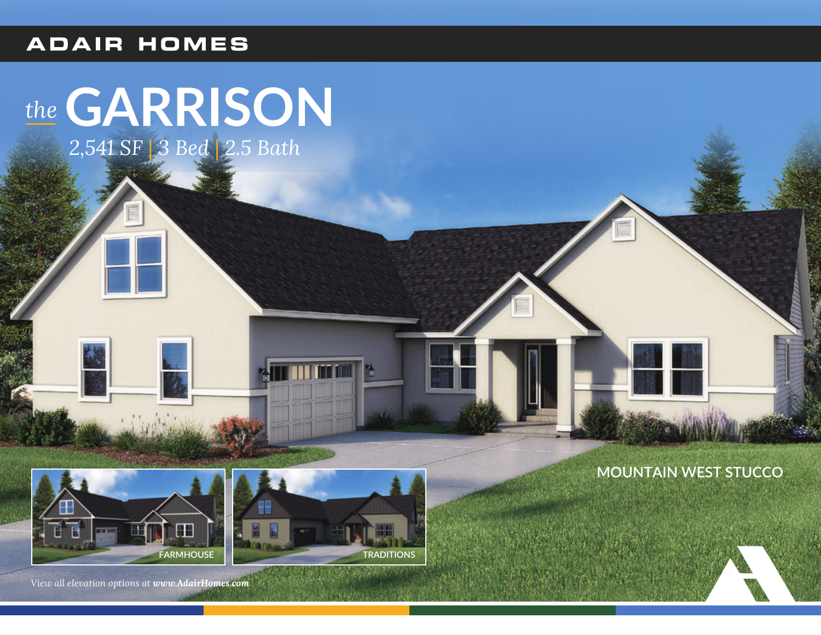#### **ADAIR HOMES**

# the GARRISON

2,541 SF | 3 Bed | 2.5 Bath

#### **MOUNTAIN WEST STUCCO**





View all elevation options at www.AdairHomes.com